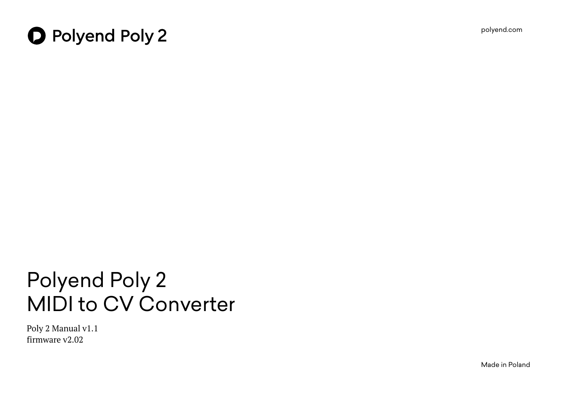

# **O** Polyend Poly 2

# Polyend Poly 2 MIDI to CV Converter

Poly 2 Manual v1.1 firmware v2.02

Made in Poland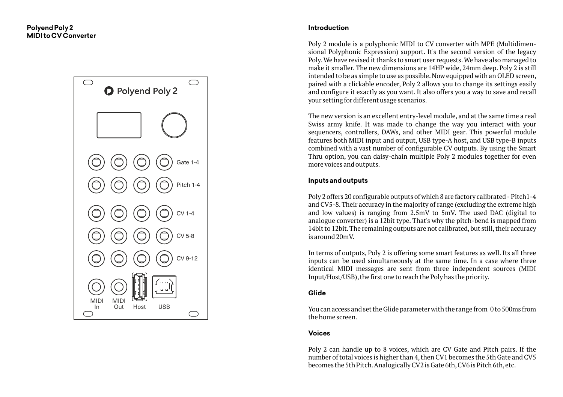

#### **Introduction**

Poly 2 module is a polyphonic MIDI to CV converter with MPE (Multidimensional Polyphonic Expression) support. It's the second version of the legacy Poly.We have revised it thanks to smart user requests.We have also managed to make it smaller. The new dimensions are 14HP wide, 24mm deep. Poly 2 is still intended to be as simple to use as possible. Now equipped with an OLED screen, paired with a clickable encoder, Poly 2 allows you to change its settings easily and configure it exactly as you want. It also offers you a way to save and recall your setting for different usage scenarios.

The new version is an excellent entry-level module, and at the same time a real Swiss army knife. It was made to change the way you interact with your sequencers, controllers, DAWs, and other MIDI gear. This powerful module features both MIDI input and output, USB type-A host, and USB type-B inputs combined with a vast number of configurable CV outputs. By using the Smart Thru option, you can daisy-chain multiple Poly 2 modules together for even more voices and outputs.

#### **Inputs and outputs**

Poly 2 offers 20 configurable outputs of which 8 are factory calibrated - Pitch1-4 and CV5-8.Their accuracy in the majority of range (excluding the extreme high and low values) is ranging from 2.5mV to 5mV. The used DAC (digital to analogue converter) is a 12bit type. That's why the pitch-bend is mapped from 14bit to 12bit. The remaining outputs are not calibrated, but still, their accuracy is around 20mV.

In terms of outputs, Poly 2 is offering some smart features as well. Its all three inputs can be used simultaneously at the same time. In a case where three identical MIDI messages are sent from three independent sources (MIDI Input/Host/USB), the first one to reach the Poly has the priority.

#### **Glide**

You can access and set the Glide parameter with the range from 0 to 500ms from the home screen.

#### **Voices**

Poly 2 can handle up to 8 voices, which are CV Gate and Pitch pairs. If the number of total voices is higher than 4,then CV1 becomes the 5th Gate and CV5 becomes the 5th Pitch.Analogically CV2 is Gate 6th,CV6 is Pitch 6th,etc.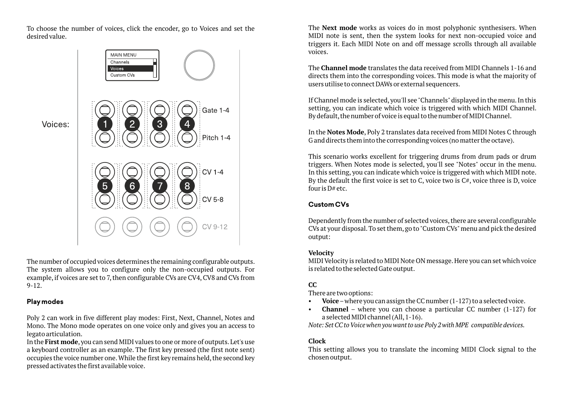To choose the number of voices, click the encoder, go to Voices and set the desired value.



The number of occupied voices determines the remaining configurable outputs. The system allows you to configure only the non-occupied outputs. For example, if voices are set to 7, then configurable CVs are CV4, CV8 and CVs from 9-12.

#### **Play modes**

Poly 2 can work in five different play modes: First, Next, Channel, Notes and Mono. The Mono mode operates on one voice only and gives you an access to legato articulation.

In the **First mode**,you can send MIDI values to one or more of outputs.Let's use a keyboard controller as an example. The first key pressed (the first note sent) occupies the voice number one. While the first key remains held, the second key pressed activates the first available voice.

The **Next mode** works as voices do in most polyphonic synthesisers. When MIDI note is sent, then the system looks for next non-occupied voice and triggers it. Each MIDI Note on and off message scrolls through all available voices.

The **Channel mode** translates the data received from MIDI Channels 1-16 and directs them into the corresponding voices. This mode is what the majority of users utilise to connect DAWs or external sequencers.

If Channel mode is selected, you'll see "Channels" displayed in the menu. In this setting, you can indicate which voice is triggered with which MIDI Channel. By default, the number of voice is equal to the number of MIDI Channel.

In the **Notes Mode**, Poly 2 translates data received from MIDI Notes C through G and directs them into the corresponding voices (no matter the octave).

This scenario works excellent for triggering drums from drum pads or drum triggers. When Notes mode is selected, you'll see "Notes" occur in the menu. In this setting, you can indicate which voice is triggered with which MIDI note. By the default the first voice is set to C, voice two is  $C#$ , voice three is D, voice four is D# etc.

# **Custom CVs**

Dependently from the number of selected voices, there are several configurable CVs at your disposal.To set them,go to "Custom CVs"menu and pick the desired output:

# **Velocity**

MIDI Velocity is related to MIDI Note ON message.Here you can set which voice is related to the selected Gate output.

# **CC**

There are two options:

- **Voice**–where you can assign the CC number (1-127) to a selected voice.
- **Channel** where you can choose a particular CC number (1-127) for a selected MIDI channel (All,1-16).

*Note: Set CC to Voice when you want to use Poly 2 with MPE compatible devices.*

# **Clock**

This setting allows you to translate the incoming MIDI Clock signal to the chosen output.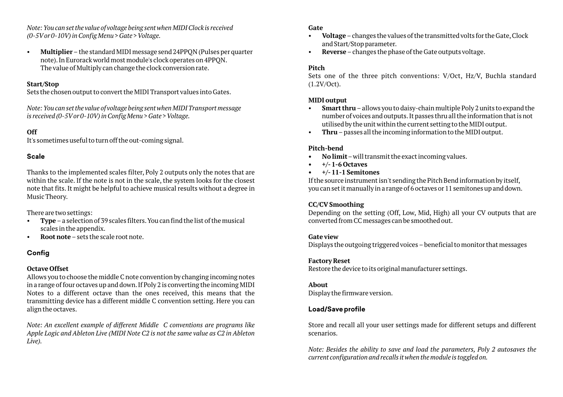*Note: You can set the value of voltage being sent when MIDI Clock is received (0-5Vor 0-10V) in Config Menu > Gate > Voltage.*

• **Multiplier**–the standard MIDI message send 24PPQN (Pulses per quarter note).In Eurorack world most module's clock operates on 4PPQN. The value of Multiply can change the clock conversion rate.

#### **Start/Stop**

Sets the chosen output to convert the MIDI Transport values into Gates.

*Note: You can set the value of voltage being sent when MIDI Transport message is received (0-5Vor 0-10V) in Config Menu > Gate > Voltage.*

#### **Off**

It's sometimes useful to turn off the out-coming signal.

#### **Scale**

Thanks to the implemented scales filter, Poly 2 outputs only the notes that are within the scale. If the note is not in the scale, the system looks for the closest note that fits.It might be helpful to achieve musical results without a degree in Music Theory.

There are two settings:

- **Type**–a selection of 39 scales filters.You can find the list of the musical scales in the appendix.
- **Root note**–sets the scale root note.

# **Config**

#### **Octave Offset**

Allows you to choose the middle C note convention by changing incoming notes in a range of four octaves up and down.If Poly 2 is converting the incoming MIDI Notes to a different octave than the ones received, this means that the transmitting device has a different middle C convention setting. Here you can align the octaves.

*Note: An excellent example of different Middle C conventions are programs like Apple Logic and Ableton Live (MIDI Note C2 is not the same value as C2 in Ableton Live).*

#### **Gate**

- **Voltage**–changes the values of the transmitted volts for the Gate,Clock and Start/Stop parameter.
- **Reverse**–changes the phase of the Gate outputs voltage.

#### **Pitch**

Sets one of the three pitch conventions: V/Oct, Hz/V, Buchla standard (1.2V/Oct).

#### **MIDI output**

- **Smart thru**–allows you to daisy-chain multiple Poly 2 units to expand the number of voices and outputs.It passes thru all the information that is not utilised by the unit within the current setting to the MIDI output.
- **Thru**–passes all the incoming information to the MIDI output.

#### **Pitch-bend**

- **No limit**–will transmit the exact incoming values.
- **+/-1-6 Octaves**

#### **• +/-11-1 Semitones**

If the source instrument isn't sending the Pitch Bend information by itself, you can set it manually in a range of 6 octaves or 11 semitones up and down.

#### **CC/CV Smoothing**

Depending on the setting (Off, Low, Mid, High) all your CV outputs that are converted from CC messages can be smoothed out.

#### **Gate view**

Displays the outgoing triggered voices – beneficial to monitor that messages

#### **Factory Reset**

Restore the device to its original manufacturer settings.

#### **About**

Display the firmware version.

# **Load/Save profile**

Store and recall all your user settings made for different setups and different scenarios.

*Note: Besides the ability to save and load the parameters, Poly 2 autosaves the current configuration and recalls it when the module is toggled on.*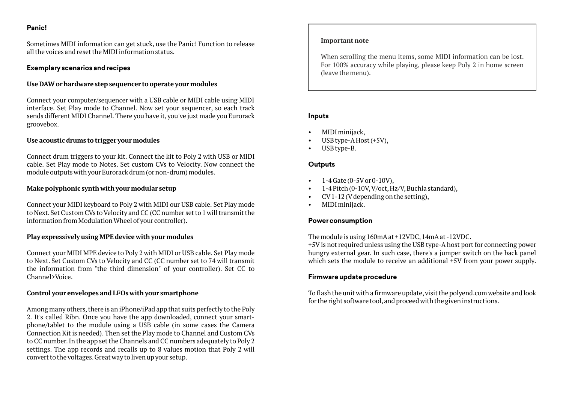#### **Panic!**

Sometimes MIDI information can get stuck, use the Panic! Function to release all the voices and reset the MIDI information status.

#### **Exemplary scenarios and recipes**

#### **Use DAW or hardware step sequencer to operate your modules**

Connect your computer/sequencer with a USB cable or MIDI cable using MIDI interface. Set Play mode to Channel. Now set your sequencer, so each track sends different MIDI Channel. There you have it, you've just made you Eurorack groovebox.

#### **Use acoustic drums to trigger your modules**

Connect drum triggers to your kit. Connect the kit to Poly 2 with USB or MIDI cable. Set Play mode to Notes. Set custom CVs to Velocity. Now connect the module outputs with your Eurorack drum (or non-drum) modules.

#### **Make polyphonic synth with your modular setup**

Connect your MIDI keyboard to Poly 2 with MIDI our USB cable. Set Play mode to Next.Set Custom CVs to Velocity and CC (CC number set to 1 will transmit the information from Modulation Wheel of your controller).

# **Play expressively using MPE device with your modules**

Connect your MIDI MPE device to Poly 2 with MIDI or USB cable. Set Play mode to Next. Set Custom CVs to Velocity and CC (CC number set to 74 will transmit the information from "the third dimension" of your controller). Set CC to Channel>Voice.

#### **Control your envelopes and LFOs with your smartphone**

Among many others, there is an iPhone/iPad app that suits perfectly to the Poly 2. It's called Ribn. Once you have the app downloaded, connect your smartphone/tablet to the module using a USB cable (in some cases the Camera Connection Kit is needed). Then set the Play mode to Channel and Custom CVs to CC number.In the app set the Channels and CC numbers adequately to Poly 2 settings. The app records and recalls up to 8 values motion that Poly 2 will convert to the voltages.Great way to liven up your setup.

#### **Important note**

When scrolling the menu items, some MIDI information can be lost. For 100% accuracy while playing, please keep Poly 2 in home screen (leave the menu).

#### **Inputs**

- MIDI minijack,
- USB type-A Host (+5V),
- USB type-B.

#### **Outputs**

- $1-4$  Gate (0-5V or 0-10V),
- 1-4 Pitch (0-10V,V/oct,Hz/V,Buchla standard),
- CV1-12 (Vdepending on the setting),
- MIDI minijack.

# **Power consumption**

The module is using 160mAat +12VDC,14mAat -12VDC.

+5Vis not required unless using the USB type-Ahost port for connecting power hungry external gear. In such case, there's a jumper switch on the back panel which sets the module to receive an additional  $+5V$  from your power supply.

# **Firmware update procedure**

To flash the unit with a firmware update, visit the polyend.com website and look for the right software tool,and proceed with the given instructions.